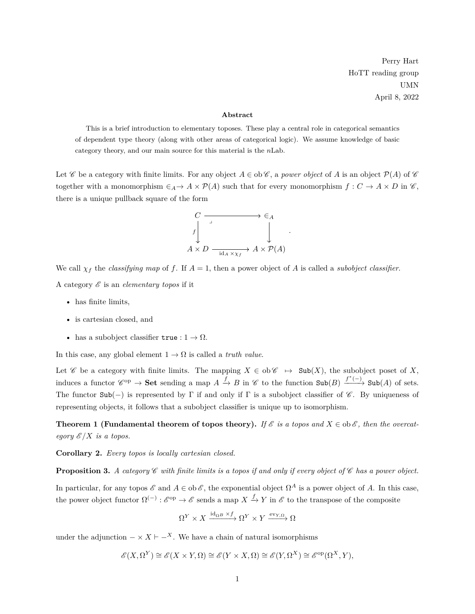Perry Hart HoTT reading group UMN April 8, 2022

## **Abstract**

This is a brief introduction to elementary toposes. These play a central role in categorical semantics of dependent type theory (along with other areas of categorical logic). We assume knowledge of basic category theory, and our main source for this material is the *n*Lab.

Let C be a category with finite limits. For any object  $A \in ob\mathscr{C}$ , a *power object* of *A* is an object  $\mathcal{P}(A)$  of C together with a monomorphism  $\in_A \to A \times \mathcal{P}(A)$  such that for every monomorphism  $f: C \to A \times D$  in  $\mathscr{C}$ , there is a unique pullback square of the form



We call  $\chi_f$  the *classifying map* of f. If  $A = 1$ , then a power object of A is called a *subobject classifier*. A category  $\mathscr E$  is an *elementary topos* if it

- has finite limits,
- is cartesian closed, and
- has a subobject classifier  $true: 1 \rightarrow \Omega$ .

In this case, any global element  $1 \rightarrow \Omega$  is called a *truth value*.

Let  $\mathscr C$  be a category with finite limits. The mapping  $X \in ob \mathscr C \rightarrow Sub(X)$ , the subobject poset of X, induces a functor  $\mathscr{C}^{op} \to \mathbf{Set}$  sending a map  $A \xrightarrow{f} B$  in  $\mathscr{C}$  to the function  $\mathbf{Sub}(B) \xrightarrow{f^*(-)} \mathbf{Sub}(A)$  of sets. The functor  $\text{Sub}(-)$  is represented by Γ if and only if Γ is a subobject classifier of  $\mathscr{C}$ . By uniqueness of representing objects, it follows that a subobject classifier is unique up to isomorphism.

**Theorem 1 (Fundamental theorem of topos theory).** *If*  $\mathscr E$  *is a topos and*  $X \in ob \mathscr E$ *, then the overcategory*  $\mathscr{E}/X$  *is a topos.* 

<span id="page-0-0"></span>**Corollary 2.** *Every topos is locally cartesian closed.*

**Proposition 3.** A category  $\mathscr C$  with finite limits is a topos if and only if every object of  $\mathscr C$  has a power object.

In particular, for any topos  $\mathscr E$  and  $A \in ob \mathscr E$ , the exponential object  $\Omega^A$  is a power object of A. In this case, the power object functor  $\Omega^{(-)}$ :  $\mathcal{E}^{\text{op}} \to \mathcal{E}$  sends a map  $X \xrightarrow{f} Y$  in  $\mathcal{E}$  to the transpose of the composite

$$
\Omega^Y\times X\xrightarrow{\operatorname{id}_{\Omega^B}\times f} \Omega^Y\times Y\xrightarrow{\operatorname{ev}_{Y,\Omega}} \Omega
$$

under the adjunction  $-\times X \vdash -^X$ . We have a chain of natural isomorphisms

$$
\mathscr{E}(X,\Omega^Y)\cong\mathscr{E}(X\times Y,\Omega)\cong\mathscr{E}(Y\times X,\Omega)\cong\mathscr{E}(Y,\Omega^X)\cong\mathscr{E}^{\mathrm{op}}(\Omega^X,Y),
$$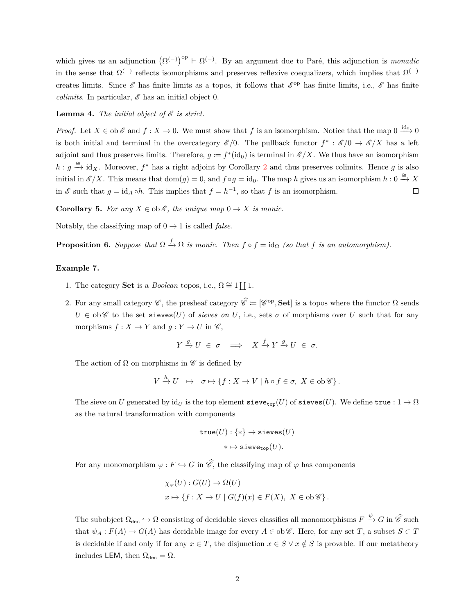which gives us an adjunction  $(\Omega^{(-)})^{\text{op}} \vdash \Omega^{(-)}$ . By an argument due to Paré, this adjunction is *monadic* in the sense that  $\Omega^{(-)}$  reflects isomorphisms and preserves reflexive coequalizers, which implies that  $\Omega^{(-)}$ creates limits. Since  $\mathscr E$  has finite limits as a topos, it follows that  $\mathscr E^{\rm op}$  has finite limits, i.e.,  $\mathscr E$  has finite *colimits*. In particular,  $\mathscr E$  has an initial object 0.

## **Lemma 4.** *The initial object of*  $\mathscr E$  *is strict.*

*Proof.* Let  $X \in ob \mathscr{E}$  and  $f : X \to 0$ . We must show that f is an isomorphism. Notice that the map  $0 \stackrel{id_0}{\longrightarrow} 0$ is both initial and terminal in the overcategory  $\mathscr{E}/0$ . The pullback functor  $f^* : \mathscr{E}/0 \to \mathscr{E}/X$  has a left adjoint and thus preserves limits. Therefore,  $g := f^*(\text{id}_0)$  is terminal in  $\mathscr{E}/X$ . We thus have an isomorphism  $h: g \stackrel{\cong}{\to} id_X$ . Moreover,  $f^*$  has a right adjoint by Corollary [2](#page-0-0) and thus preserves colimits. Hence *g* is also initial in  $\mathscr{E}/X$ . This means that  $dom(g) = 0$ , and  $f \circ g = id_0$ . The map *h* gives us an isomorphism  $h: 0 \stackrel{\cong}{\to} X$ in  $\mathscr E$  such that  $g = id_A \circ h$ . This implies that  $f = h^{-1}$ , so that  $f$  is an isomorphism.  $\Box$ 

**Corollary 5.** *For any*  $X \in ob \mathcal{E}$ *, the unique map*  $0 \to X$  *is monic.* 

Notably, the classifying map of  $0 \rightarrow 1$  is called *false*.

**Proposition 6.** Suppose that  $\Omega \stackrel{f}{\to} \Omega$  is monic. Then  $f \circ f = id_{\Omega}$  (so that  $f$  is an automorphism).

## **Example 7.**

- 1. The category **Set** is a *Boolean* topos, i.e.,  $\Omega \cong 1 \coprod 1$ .
- 2. For any small category  $\mathscr{C}$ , the presheaf category  $\hat{\mathscr{C}} := [\mathscr{C}^{\text{op}}, \mathbf{Set}]$  is a topos where the functor  $\Omega$  sends  $U \in ob\mathscr{C}$  to the set sieves(*U*) of *sieves on U*, i.e., sets  $\sigma$  of morphisms over *U* such that for any morphisms  $f: X \to Y$  and  $g: Y \to U$  in  $\mathscr{C}$ ,

$$
Y \xrightarrow{g} U \in \sigma \implies X \xrightarrow{f} Y \xrightarrow{g} U \in \sigma.
$$

The action of  $\Omega$  on morphisms in  $\mathscr C$  is defined by

$$
V \xrightarrow{h} U \mapsto \sigma \mapsto \{ f : X \to V \mid h \circ f \in \sigma, \ X \in \text{ob}\,\mathscr{C} \}.
$$

The sieve on *U* generated by  $\mathrm{id}_U$  is the top element sieve<sub>top</sub>(*U*) of sieves(*U*). We define true :  $1 \to \Omega$ as the natural transformation with components

$$
\begin{aligned} \mathtt{true}(U) : \{ * \} &\rightarrow \mathtt{sieves}(U) \\ * &\mapsto \mathtt{sieve}_{\mathtt{top}}(U). \end{aligned}
$$

For any monomorphism  $\varphi : F \hookrightarrow G$  in  $\widehat{\mathscr{C}}$ , the classifying map of  $\varphi$  has components

$$
\chi_{\varphi}(U) : G(U) \to \Omega(U)
$$
  

$$
x \mapsto \{f : X \to U \mid G(f)(x) \in F(X), \ X \in \text{ob}\,\mathscr{C}\}.
$$

The subobject  $\Omega_{\text{dec}} \hookrightarrow \Omega$  consisting of decidable sieves classifies all monomorphisms  $F \xrightarrow{\psi} G$  in  $\hat{\mathscr{C}}$  such that  $\psi_A : F(A) \to G(A)$  has decidable image for every  $A \in ob \mathscr{C}$ . Here, for any set *T*, a subset  $S \subset T$ is decidable if and only if for any  $x \in T$ , the disjunction  $x \in S \vee x \notin S$  is provable. If our metatheory includes LEM, then  $\Omega_{\text{dec}} = \Omega$ .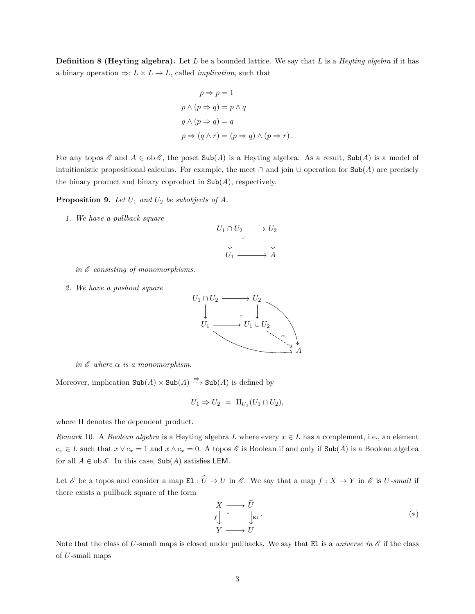**Definition 8 (Heyting algebra).** Let *L* be a bounded lattice. We say that *L* is a *Heyting algebra* if it has a binary operation  $\Rightarrow: L \times L \rightarrow L$ , called *implication*, such that

$$
p \Rightarrow p = 1
$$
  
\n
$$
p \land (p \Rightarrow q) = p \land q
$$
  
\n
$$
q \land (p \Rightarrow q) = q
$$
  
\n
$$
p \Rightarrow (q \land r) = (p \Rightarrow q) \land (p \Rightarrow r).
$$

For any topos  $\mathscr E$  and  $A \in ob \mathscr E$ , the poset  $\text{Sub}(A)$  is a Heyting algebra. As a result,  $\text{Sub}(A)$  is a model of intuitionistic propositional calculus. For example, the meet  $\cap$  and join  $\cup$  operation for Sub(*A*) are precisely the binary product and binary coproduct in  $\text{Sub}(A)$ , respectively.

**Proposition 9.** *Let U*<sup>1</sup> *and U*<sup>2</sup> *be subobjects of A.*

*1. We have a pullback square*



*in* E *consisting of monomorphisms.*

*2. We have a pushout square*



*in*  $\mathscr E$  *where*  $\alpha$  *is a monomorphism.* 

Moreover, implication  $\text{Sub}(A) \times \text{Sub}(A) \stackrel{\Rightarrow}{\longrightarrow} \text{Sub}(A)$  is defined by

$$
U_1 \Rightarrow U_2 = \Pi_{U_1}(U_1 \cap U_2),
$$

where Π denotes the dependent product.

*Remark* 10*.* A *Boolean algebra* is a Heyting algebra *L* where every *x* ∈ *L* has a complement, i.e., an element  $c_x \in L$  such that  $x \vee c_x = 1$  and  $x \wedge c_x = 0$ . A topos  $\mathscr E$  is Boolean if and only if  $\text{Sub}(A)$  is a Boolean algebra for all  $A \in ob \mathscr{E}$ . In this case,  $Sub(A)$  satisfies LEM.

Let  $\mathscr E$  be a topos and consider a map  $\texttt{El} : \widehat{U} \to U$  in  $\mathscr E$ . We say that a map  $f : X \to Y$  in  $\mathscr E$  is  $U$ *-small* if there exists a pullback square of the form

<span id="page-2-0"></span>
$$
\begin{array}{ccc}\nX & \longrightarrow & \widehat{U} \\
f & \downarrow & \downarrow \\
Y & \longrightarrow & U\n\end{array} \tag{*}
$$

Note that the class of *U*-small maps is closed under pullbacks. We say that El is a *universe in*  $\mathscr E$  if the class of *U*-small maps